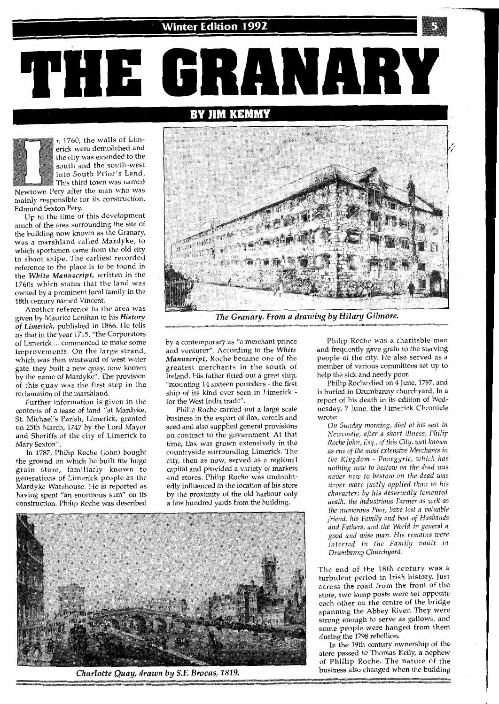BY

**JIM KEMMY** 

70

n 1760, the walls of Limerick were demolished and the city was extended to the south and the south-west into South Prior's Land. This third town was named

 $\begin{smallmatrix} 0 & -1 \\ -1 & 0 \end{smallmatrix}$ 

Newtown Pery after the man who was mainly responsible for its construction, Edmund Sexton Pery.

Up to the time of this development much of the area surrounding the site of the building now known as the Granary, was a marshland called Mardyke, to which sportsmen came from the old city to shoot snipe. The earliest recorded reference to the place is to be found in the *White Manuscript,* written in the 1760s which states that the land was owned by a prominent local family in the 18th century named Vincent.

Another reference to the area was given by Maurice Lenihan in his *History of Limerick,* published in 1866. He tells us that in the year 1715, "the Corporators of Limerick ... commenced to make some improvements. On the large strand, which was then westward of west water gate, they built a new quay, now known by the name of Mardyke". The provision of this quay was the first step in the reclamation of the marshland.

Further information is given in the contents of a lease of land "at Mardyke, St. Michael's Parish, Limerick, granted on 25th March, 1747 by the Lord Mayor and Sheriffs of the city of Limerick to mary Contains of the Section of the Section of the Section of the Section of the Section of the Section of the<br>Section of the Section of the Section of the Section of the Section of the Section of the Section of the Sectio In 1787, Philip Roche (John) bought

the ground on which he built the huge grain store, familiarly known to generations of Limerick people as the Mardyke Warehouse. He is reported as having spent "an enormous sum" on its construction. Philip Roche was described



ANARY

The Granary. From a drawing by Hilary Gilmore.

by a contemporary as "a merchant prince and venturer". According to the *White Manuscript,* Roche became one of the greatest merchants in the south of Ireland. His father fitted out a great ship, "mounting 14 sixteen pounders - the first ship of its kind ever seen in Limerick for the West India trade".

Philip Roche carried out a large scale business in the export of flax, cereals and seed and also supplied general provisions on contract to the government. At that time, flax was grown extensively in the countryside surrounding Limerick. The city, then as now, served as a regional capital and provided a variety of markets and stores. Philip Roche was undoubtedly influenced in the location of his store by the proximity of the old harbour only a few hundred yards from the building.



Charlotte Quay, drawn by S.F. Brocas, 1819.

Philip Roche was a charitable man and frequently gave grain to the starving people of the city. He also served as a member of various committees set up to help the sick and needy poor.

Philip Roche died on 4 June, 1797, and is buried in Drumbanny churchyard. In a report of his death in its edition of Wednesday, 7 June, the Limerick Chronicle couay,<br>rote: *On Sunday morning, died at his seat in* 

*Newcastle, after a short illness, Philip Roche lohn, Esq., of this City, well known as one of the most extensive Merchants In the Kingdom* - *Panegyric, which has nothing new to bestow on the dead was never new to bestow on the dead was never more justly applied than to his character; by his deservedly lamented death, the industrious Farmer as well as the numerous Poor, have lost a valuable friend, his Family and best* of *Husbands and Fathers, and the World in general a good and wise man. His remains were interred in the Family vault In Drumbanny Churchyard.* 

The end of the 18th century was a turbulent period in Irish history. Just across the road from the front of the store, two lamp posts were set opposite each other on the centre of the bridge spanning the Abbey River. They were strong enough to serve as gallows, and some people were hanged from them during the 1798 rebellion.

In the 19th century ownership of the store passed to Thomas Kelly, a nephew of Phillip Roche. The nature of the business also changed when the building